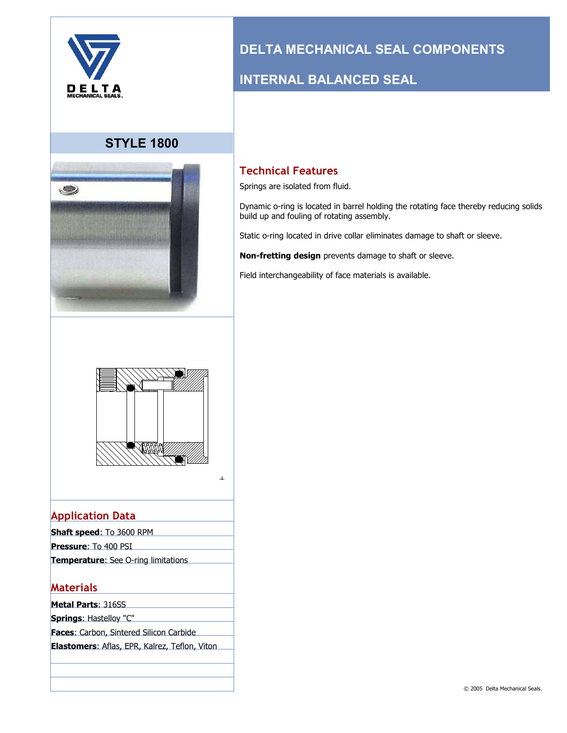

## **STYLE 1800**



# **DELTA MECHANICAL SEAL COMPONENTS**

## **INTERNAL BALANCED SEAL**

### **Technical Features**

Springs are isolated from fluid.

Dynamic o-ring is located in barrel holding the rotating face thereby reducing solids build up and fouling of rotating assembly.

Static o-ring located in drive collar eliminates damage to shaft or sleeve.

**Non-fretting design** prevents damage to shaft or sleeve.

Field interchangeability of face materials is available.



#### $\perp$

## **Application Data**

| <b>Shaft speed: To 3600 RPM</b>            |  |
|--------------------------------------------|--|
| <b>Pressure:</b> To 400 PSI                |  |
| <b>Temperature:</b> See O-ring limitations |  |
|                                            |  |

#### **Materials**

- **Metal Parts**: 316SS
- **Springs**: Hastelloy "C"
- **Faces**: Carbon, Sintered Silicon Carbide

**Elastomers**: Aflas, EPR, Kalrez, Teflon, Viton